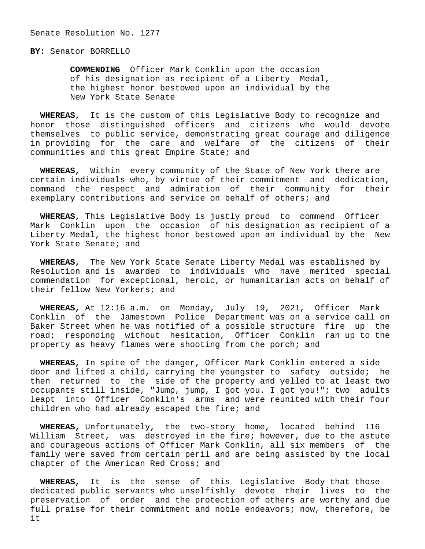## **BY:** Senator BORRELLO

 **COMMENDING** Officer Mark Conklin upon the occasion of his designation as recipient of a Liberty Medal, the highest honor bestowed upon an individual by the New York State Senate

 **WHEREAS,** It is the custom of this Legislative Body to recognize and honor those distinguished officers and citizens who would devote themselves to public service, demonstrating great courage and diligence in providing for the care and welfare of the citizens of their communities and this great Empire State; and

 **WHEREAS,** Within every community of the State of New York there are certain individuals who, by virtue of their commitment and dedication, command the respect and admiration of their community for their exemplary contributions and service on behalf of others; and

 **WHEREAS,** This Legislative Body is justly proud to commend Officer Mark Conklin upon the occasion of his designation as recipient of a Liberty Medal, the highest honor bestowed upon an individual by the New York State Senate; and

 **WHEREAS,** The New York State Senate Liberty Medal was established by Resolution and is awarded to individuals who have merited special commendation for exceptional, heroic, or humanitarian acts on behalf of their fellow New Yorkers; and

 **WHEREAS,** At 12:16 a.m. on Monday, July 19, 2021, Officer Mark Conklin of the Jamestown Police Department was on a service call on Baker Street when he was notified of a possible structure fire up the road; responding without hesitation, Officer Conklin ran up to the property as heavy flames were shooting from the porch; and

 **WHEREAS,** In spite of the danger, Officer Mark Conklin entered a side door and lifted a child, carrying the youngster to safety outside; he then returned to the side of the property and yelled to at least two occupants still inside, "Jump, jump, I got you. I got you!"; two adults leapt into Officer Conklin's arms and were reunited with their four children who had already escaped the fire; and

 **WHEREAS,** Unfortunately, the two-story home, located behind 116 William Street, was destroyed in the fire; however, due to the astute and courageous actions of Officer Mark Conklin, all six members of the family were saved from certain peril and are being assisted by the local chapter of the American Red Cross; and

 **WHEREAS,** It is the sense of this Legislative Body that those dedicated public servants who unselfishly devote their lives to the preservation of order and the protection of others are worthy and due full praise for their commitment and noble endeavors; now, therefore, be it